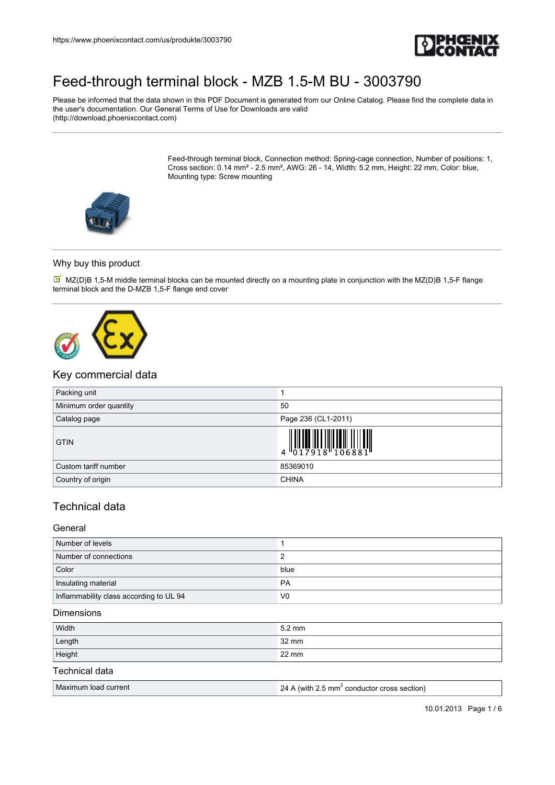

Please be informed that the data shown in this PDF Document is generated from our Online Catalog. Please find the complete data in the user's documentation. Our General Terms of Use for Downloads are valid (http://download.phoenixcontact.com)

> Feed-through terminal block, Connection method: Spring-cage connection, Number of positions: 1, Cross section: 0.14 mm² - 2.5 mm², AWG: 26 - 14, Width: 5.2 mm, Height: 22 mm, Color: blue, Mounting type: Screw mounting



#### Why buy this product

 $\boxtimes'$  MZ(D)B 1,5-M middle terminal blocks can be mounted directly on a mounting plate in conjunction with the MZ(D)B 1,5-F flange terminal block and the D-MZB 1,5-F flange end cover



## Key commercial data

| Packing unit           |                                                                                                                                                                                                                                                                                                                                                                                                                                                                                                                                                                                       |
|------------------------|---------------------------------------------------------------------------------------------------------------------------------------------------------------------------------------------------------------------------------------------------------------------------------------------------------------------------------------------------------------------------------------------------------------------------------------------------------------------------------------------------------------------------------------------------------------------------------------|
| Minimum order quantity | 50                                                                                                                                                                                                                                                                                                                                                                                                                                                                                                                                                                                    |
| Catalog page           | Page 236 (CL1-2011)                                                                                                                                                                                                                                                                                                                                                                                                                                                                                                                                                                   |
| <b>GTIN</b>            | $\begin{array}{c} \begin{array}{c} \begin{array}{c} \begin{array}{c} \end{array}\\ \begin{array}{c} \end{array}\\ \begin{array}{c} \end{array}\\ \begin{array}{c} \end{array}\\ \begin{array}{c} \end{array}\\ \begin{array}{c} \end{array}\\ \begin{array}{c} \end{array}\\ \begin{array}{c} \end{array}\\ \begin{array}{c} \end{array}\\ \begin{array}{c} \end{array}\\ \begin{array}{c} \end{array}\\ \begin{array}{c} \end{array}\\ \begin{array}{c} \end{array}\\ \begin{array}{c} \end{array}\\ \begin{array}{c} \end{array}\\ \begin{array}{c} \end{array}\\ \begin{array}{c}$ |
| Custom tariff number   | 85369010                                                                                                                                                                                                                                                                                                                                                                                                                                                                                                                                                                              |
| Country of origin      | <b>CHINA</b>                                                                                                                                                                                                                                                                                                                                                                                                                                                                                                                                                                          |

## Technical data

#### General

| Number of levels                        |                |
|-----------------------------------------|----------------|
| Number of connections                   |                |
| Color                                   | blue           |
| Insulating material                     | PA             |
| Inflammability class according to UL 94 | V <sub>0</sub> |

#### Dimensions

| Width          | 5.2 mm |
|----------------|--------|
| Length         | 32 mm  |
| Height         | 22 mm  |
| Technical data |        |

#### Maximum load current 24 A (with  $2.5$  mm<sup>2</sup> conductor cross section)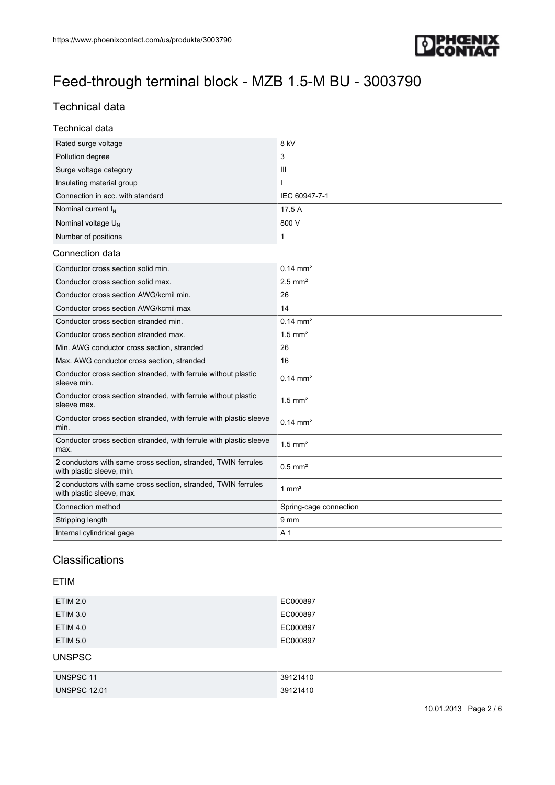

# Technical data

### Technical data

| Rated surge voltage              | 8 kV           |
|----------------------------------|----------------|
| Pollution degree                 | 3              |
| Surge voltage category           | $\mathbf{III}$ |
| Insulating material group        |                |
| Connection in acc. with standard | IEC 60947-7-1  |
| Nominal current $I_{N}$          | 17.5 A         |
| Nominal voltage $U_N$            | 800 V          |
| Number of positions              |                |

#### Connection data

| Conductor cross section solid min.                                                         | $0.14 \, \text{mm}^2$  |
|--------------------------------------------------------------------------------------------|------------------------|
| Conductor cross section solid max.                                                         | $2.5$ mm <sup>2</sup>  |
| Conductor cross section AWG/kcmil min.                                                     | 26                     |
| Conductor cross section AWG/kcmil max                                                      | 14                     |
| Conductor cross section stranded min.                                                      | $0.14 \, \text{mm}^2$  |
| Conductor cross section stranded max.                                                      | $1.5$ mm <sup>2</sup>  |
| Min. AWG conductor cross section, stranded                                                 | 26                     |
| Max. AWG conductor cross section, stranded                                                 | 16                     |
| Conductor cross section stranded, with ferrule without plastic<br>sleeve min.              | $0.14 \, \text{mm}^2$  |
| Conductor cross section stranded, with ferrule without plastic<br>sleeve max.              | $1.5$ mm <sup>2</sup>  |
| Conductor cross section stranded, with ferrule with plastic sleeve<br>min.                 | $0.14 \, \text{mm}^2$  |
| Conductor cross section stranded, with ferrule with plastic sleeve<br>max.                 | $1.5$ mm <sup>2</sup>  |
| 2 conductors with same cross section, stranded, TWIN ferrules<br>with plastic sleeve, min. | $0.5$ mm <sup>2</sup>  |
| 2 conductors with same cross section, stranded, TWIN ferrules<br>with plastic sleeve, max. | $1 \text{ mm}^2$       |
| Connection method                                                                          | Spring-cage connection |
| Stripping length                                                                           | 9 <sub>mm</sub>        |
| Internal cylindrical gage                                                                  | A <sub>1</sub>         |

# Classifications

## ETIM

| ETIM 2.0 | EC000897 |
|----------|----------|
| ETIM 3.0 | EC000897 |
| ETIM 4.0 | EC000897 |
| ETIM 5.0 | EC000897 |

#### UNSPSC

| <b>UNSPSC</b>                 | 44C<br>301<br>ັບ<br>טו            |
|-------------------------------|-----------------------------------|
| <b>UNSPS</b><br>12.01<br>്ട്ര | 301<br>40<br>ົບວ<br>11 V<br>1 L I |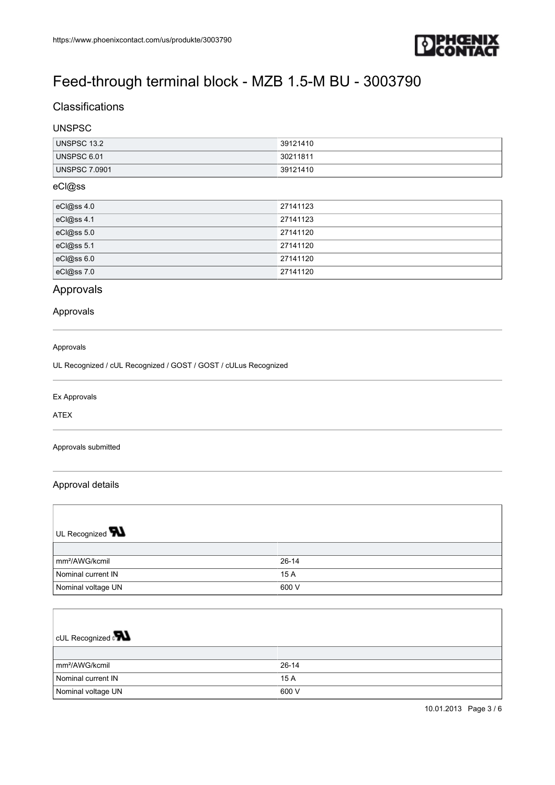

## **Classifications**

## UNSPSC

| UNSPSC 13.2          | 39121410  |
|----------------------|-----------|
| UNSPSC 6.01          | 130211811 |
| <b>UNSPSC 7.0901</b> | 39121410  |

### eCl@ss

| eCl@ss 4.0 | 27141123 |
|------------|----------|
| eCl@ss 4.1 | 27141123 |
| eCl@ss 5.0 | 27141120 |
| eCl@ss 5.1 | 27141120 |
| eCl@ss 6.0 | 27141120 |
| eCl@ss 7.0 | 27141120 |

## Approvals

## Approvals

#### Approvals

UL Recognized / cUL Recognized / GOST / GOST / cULus Recognized

### Ex Approvals

ATEX

 $\overline{1}$ 

#### Approvals submitted

### Approval details

| UL Recognized $\blacksquare$ |           |
|------------------------------|-----------|
|                              |           |
| mm <sup>2</sup> /AWG/kcmil   | $26 - 14$ |
| Nominal current IN           | 15 A      |
| Nominal voltage UN           | 600 V     |

| CUL Recognized $\mathbf{R}$ |           |
|-----------------------------|-----------|
|                             |           |
| mm <sup>2</sup> /AWG/kcmil  | $26 - 14$ |
| Nominal current IN          | 15 A      |
| Nominal voltage UN          | 600 V     |

٦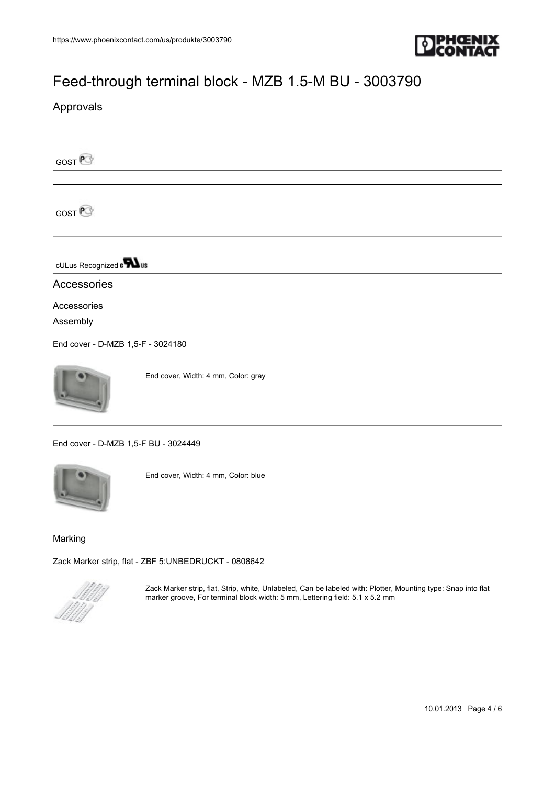

## Approvals

GOST<sup>@</sup>

**GOST**<sup>P</sup>

cULus Recognized a **Wus** 

## Accessories

Accessories

Assembly

[End cover - D-MZB 1,5-F - 3024180](https://www.phoenixcontact.com/us/produkte/3024180)



End cover, Width: 4 mm, Color: gray

[End cover - D-MZB 1,5-F BU - 3024449](https://www.phoenixcontact.com/us/produkte/3024449)



End cover, Width: 4 mm, Color: blue

### Marking

[Zack Marker strip, flat - ZBF 5:UNBEDRUCKT - 0808642](https://www.phoenixcontact.com/us/produkte/0808642)



Zack Marker strip, flat, Strip, white, Unlabeled, Can be labeled with: Plotter, Mounting type: Snap into flat marker groove, For terminal block width: 5 mm, Lettering field: 5.1 x 5.2 mm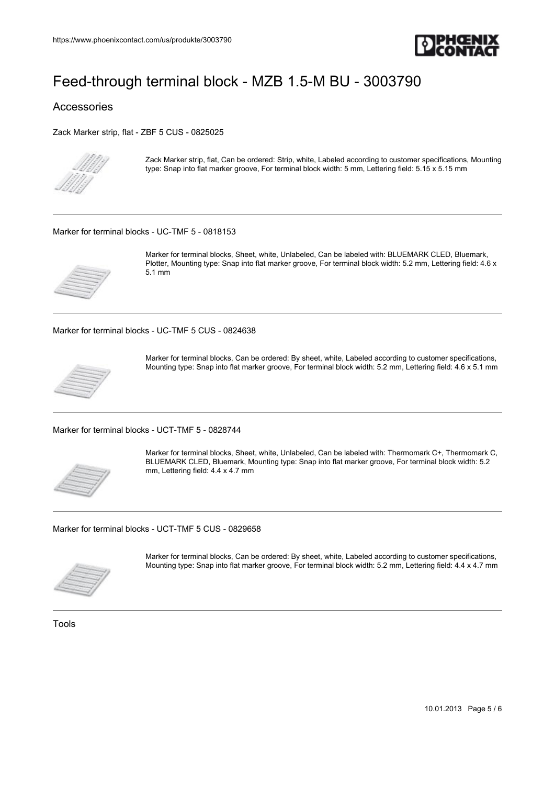

## Accessories

[Zack Marker strip, flat - ZBF 5 CUS - 0825025](https://www.phoenixcontact.com/us/produkte/0825025)



Zack Marker strip, flat, Can be ordered: Strip, white, Labeled according to customer specifications, Mounting type: Snap into flat marker groove, For terminal block width: 5 mm, Lettering field: 5.15 x 5.15 mm

[Marker for terminal blocks - UC-TMF 5 - 0818153](https://www.phoenixcontact.com/us/produkte/0818153)



Marker for terminal blocks, Sheet, white, Unlabeled, Can be labeled with: BLUEMARK CLED, Bluemark, Plotter, Mounting type: Snap into flat marker groove, For terminal block width: 5.2 mm, Lettering field: 4.6 x 5.1 mm

[Marker for terminal blocks - UC-TMF 5 CUS - 0824638](https://www.phoenixcontact.com/us/produkte/0824638)



Marker for terminal blocks, Can be ordered: By sheet, white, Labeled according to customer specifications, Mounting type: Snap into flat marker groove, For terminal block width: 5.2 mm, Lettering field: 4.6 x 5.1 mm

[Marker for terminal blocks - UCT-TMF 5 - 0828744](https://www.phoenixcontact.com/us/produkte/0828744)



Marker for terminal blocks, Sheet, white, Unlabeled, Can be labeled with: Thermomark C+, Thermomark C, BLUEMARK CLED, Bluemark, Mounting type: Snap into flat marker groove, For terminal block width: 5.2 mm, Lettering field: 4.4 x 4.7 mm

[Marker for terminal blocks - UCT-TMF 5 CUS - 0829658](https://www.phoenixcontact.com/us/produkte/0829658)



Marker for terminal blocks, Can be ordered: By sheet, white, Labeled according to customer specifications, Mounting type: Snap into flat marker groove, For terminal block width: 5.2 mm, Lettering field: 4.4 x 4.7 mm

Tools